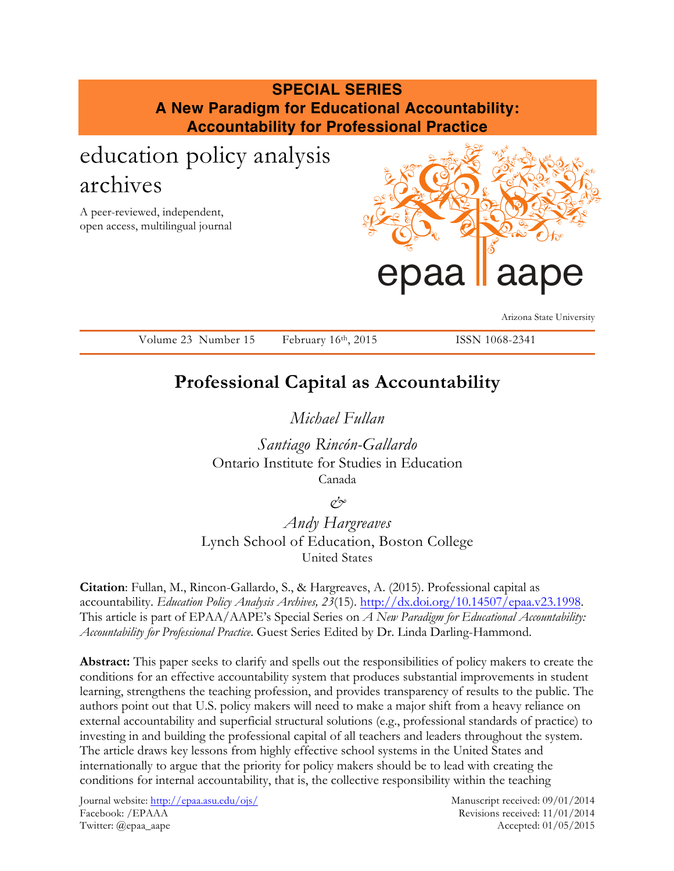# **SPECIAL SERIES A New Paradigm for Educational Accountability: Accountability for Professional Practice**

# education policy analysis archives

A peer-reviewed, independent, open access, multilingual journal



Arizona State University

Volume 23 Number 15 February 16th, 2015 ISSN 1068-2341

# **Professional Capital as Accountability**

*Michael Fullan* 

*Santiago Rincón-Gallardo*  Ontario Institute for Studies in Education Canada

*&*

*Andy Hargreaves*  Lynch School of Education, Boston College United States

**Citation**: Fullan, M., Rincon-Gallardo, S., & Hargreaves, A. (2015). Professional capital as accountability. *Education Policy Analysis Archives, 23*(15). http://dx.doi.org/10.14507/epaa.v23.1998. This article is part of EPAA/AAPE's Special Series on *A New Paradigm for Educational Accountability: Accountability for Professional Practice*. Guest Series Edited by Dr. Linda Darling-Hammond.

**Abstract:** This paper seeks to clarify and spells out the responsibilities of policy makers to create the conditions for an effective accountability system that produces substantial improvements in student learning, strengthens the teaching profession, and provides transparency of results to the public. The authors point out that U.S. policy makers will need to make a major shift from a heavy reliance on external accountability and superficial structural solutions (e.g., professional standards of practice) to investing in and building the professional capital of all teachers and leaders throughout the system. The article draws key lessons from highly effective school systems in the United States and internationally to argue that the priority for policy makers should be to lead with creating the conditions for internal accountability, that is, the collective responsibility within the teaching

Journal website: http://epaa.asu.edu/ojs/ Manuscript received: 09/01/2014 Facebook: /EPAAA Revisions received: 11/01/2014 Twitter: @epaa\_aape Accepted: 01/05/2015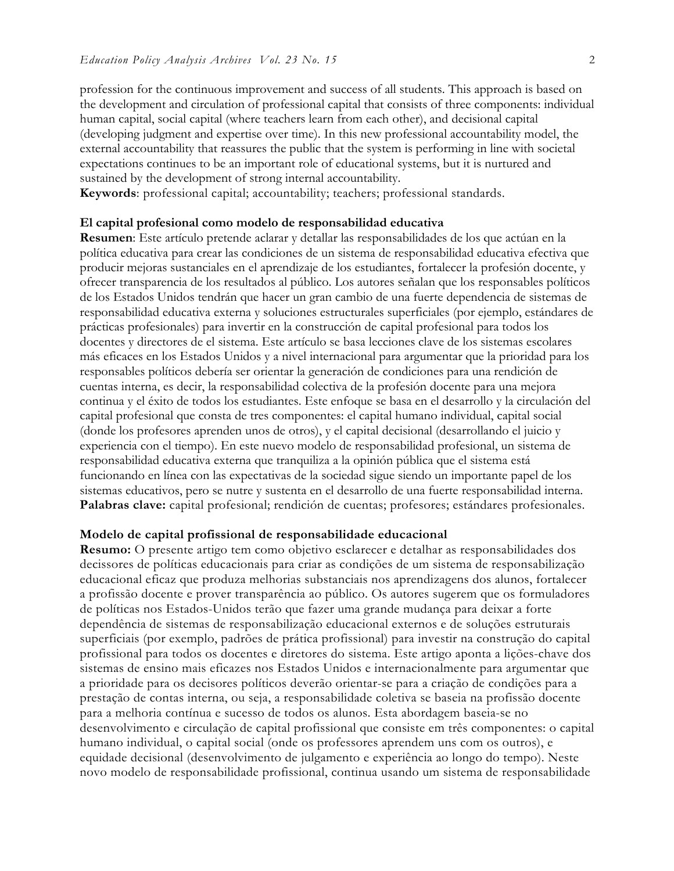profession for the continuous improvement and success of all students. This approach is based on the development and circulation of professional capital that consists of three components: individual human capital, social capital (where teachers learn from each other), and decisional capital (developing judgment and expertise over time). In this new professional accountability model, the external accountability that reassures the public that the system is performing in line with societal expectations continues to be an important role of educational systems, but it is nurtured and sustained by the development of strong internal accountability.

**Keywords**: professional capital; accountability; teachers; professional standards.

#### **El capital profesional como modelo de responsabilidad educativa**

**Resumen**: Este artículo pretende aclarar y detallar las responsabilidades de los que actúan en la política educativa para crear las condiciones de un sistema de responsabilidad educativa efectiva que producir mejoras sustanciales en el aprendizaje de los estudiantes, fortalecer la profesión docente, y ofrecer transparencia de los resultados al público. Los autores señalan que los responsables políticos de los Estados Unidos tendrán que hacer un gran cambio de una fuerte dependencia de sistemas de responsabilidad educativa externa y soluciones estructurales superficiales (por ejemplo, estándares de prácticas profesionales) para invertir en la construcción de capital profesional para todos los docentes y directores de el sistema. Este artículo se basa lecciones clave de los sistemas escolares más eficaces en los Estados Unidos y a nivel internacional para argumentar que la prioridad para los responsables políticos debería ser orientar la generación de condiciones para una rendición de cuentas interna, es decir, la responsabilidad colectiva de la profesión docente para una mejora continua y el éxito de todos los estudiantes. Este enfoque se basa en el desarrollo y la circulación del capital profesional que consta de tres componentes: el capital humano individual, capital social (donde los profesores aprenden unos de otros), y el capital decisional (desarrollando el juicio y experiencia con el tiempo). En este nuevo modelo de responsabilidad profesional, un sistema de responsabilidad educativa externa que tranquiliza a la opinión pública que el sistema está funcionando en línea con las expectativas de la sociedad sigue siendo un importante papel de los sistemas educativos, pero se nutre y sustenta en el desarrollo de una fuerte responsabilidad interna. **Palabras clave:** capital profesional; rendición de cuentas; profesores; estándares profesionales.

#### **Modelo de capital profissional de responsabilidade educacional**

**Resumo:** O presente artigo tem como objetivo esclarecer e detalhar as responsabilidades dos decissores de políticas educacionais para criar as condições de um sistema de responsabilização educacional eficaz que produza melhorias substanciais nos aprendizagens dos alunos, fortalecer a profissão docente e prover transparência ao público. Os autores sugerem que os formuladores de políticas nos Estados-Unidos terão que fazer uma grande mudança para deixar a forte dependência de sistemas de responsabilização educacional externos e de soluções estruturais superficiais (por exemplo, padrões de prática profissional) para investir na construção do capital profissional para todos os docentes e diretores do sistema. Este artigo aponta a lições-chave dos sistemas de ensino mais eficazes nos Estados Unidos e internacionalmente para argumentar que a prioridade para os decisores políticos deverão orientar-se para a criação de condições para a prestação de contas interna, ou seja, a responsabilidade coletiva se baseia na profissão docente para a melhoria contínua e sucesso de todos os alunos. Esta abordagem baseia-se no desenvolvimento e circulação de capital profissional que consiste em três componentes: o capital humano individual, o capital social (onde os professores aprendem uns com os outros), e equidade decisional (desenvolvimento de julgamento e experiência ao longo do tempo). Neste novo modelo de responsabilidade profissional, continua usando um sistema de responsabilidade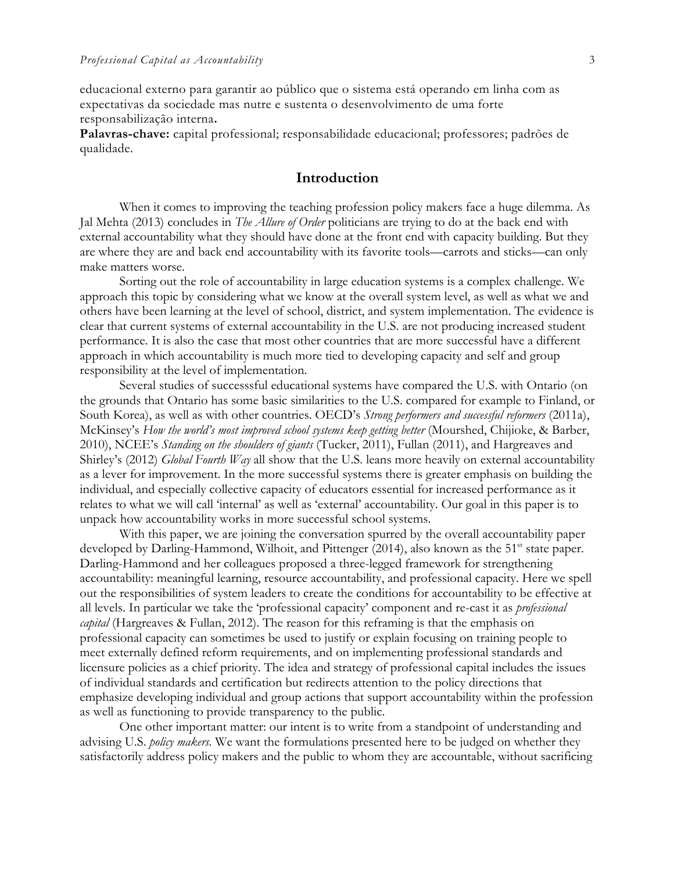educacional externo para garantir ao público que o sistema está operando em linha com as expectativas da sociedade mas nutre e sustenta o desenvolvimento de uma forte responsabilização interna**.**

**Palavras-chave:** capital professional; responsabilidade educacional; professores; padrões de qualidade.

### **Introduction**

When it comes to improving the teaching profession policy makers face a huge dilemma. As Jal Mehta (2013) concludes in *The Allure of Order* politicians are trying to do at the back end with external accountability what they should have done at the front end with capacity building. But they are where they are and back end accountability with its favorite tools—carrots and sticks—can only make matters worse.

Sorting out the role of accountability in large education systems is a complex challenge. We approach this topic by considering what we know at the overall system level, as well as what we and others have been learning at the level of school, district, and system implementation. The evidence is clear that current systems of external accountability in the U.S. are not producing increased student performance. It is also the case that most other countries that are more successful have a different approach in which accountability is much more tied to developing capacity and self and group responsibility at the level of implementation.

Several studies of successsful educational systems have compared the U.S. with Ontario (on the grounds that Ontario has some basic similarities to the U.S. compared for example to Finland, or South Korea), as well as with other countries. OECD's *Strong performers and successful reformers* (2011a), McKinsey's *How the world's most improved school systems keep getting better* (Mourshed, Chijioke, & Barber, 2010), NCEE's *Standing on the shoulders of giants* (Tucker, 2011), Fullan (2011), and Hargreaves and Shirley's (2012) *Global Fourth Way* all show that the U.S. leans more heavily on external accountability as a lever for improvement. In the more successful systems there is greater emphasis on building the individual, and especially collective capacity of educators essential for increased performance as it relates to what we will call 'internal' as well as 'external' accountability. Our goal in this paper is to unpack how accountability works in more successful school systems.

With this paper, we are joining the conversation spurred by the overall accountability paper developed by Darling-Hammond, Wilhoit, and Pittenger (2014), also known as the 51<sup>st</sup> state paper. Darling-Hammond and her colleagues proposed a three-legged framework for strengthening accountability: meaningful learning, resource accountability, and professional capacity. Here we spell out the responsibilities of system leaders to create the conditions for accountability to be effective at all levels. In particular we take the 'professional capacity' component and re-cast it as *professional capital* (Hargreaves & Fullan, 2012). The reason for this reframing is that the emphasis on professional capacity can sometimes be used to justify or explain focusing on training people to meet externally defined reform requirements, and on implementing professional standards and licensure policies as a chief priority. The idea and strategy of professional capital includes the issues of individual standards and certification but redirects attention to the policy directions that emphasize developing individual and group actions that support accountability within the profession as well as functioning to provide transparency to the public.

One other important matter: our intent is to write from a standpoint of understanding and advising U.S. *policy makers.* We want the formulations presented here to be judged on whether they satisfactorily address policy makers and the public to whom they are accountable, without sacrificing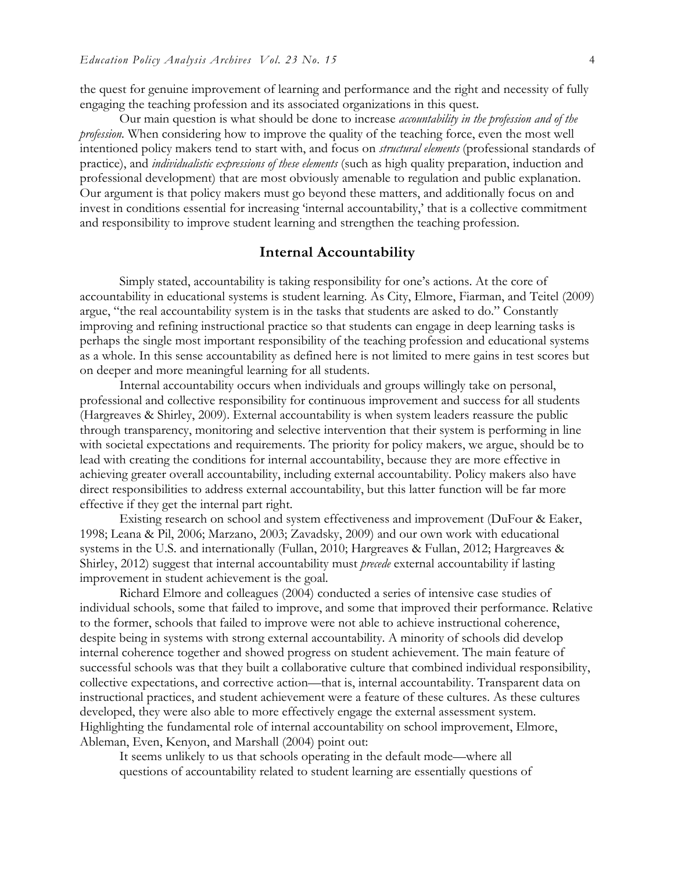the quest for genuine improvement of learning and performance and the right and necessity of fully engaging the teaching profession and its associated organizations in this quest.

Our main question is what should be done to increase *accountability in the profession and of the profession.* When considering how to improve the quality of the teaching force, even the most well intentioned policy makers tend to start with, and focus on *structural elements* (professional standards of practice), and *individualistic expressions of these elements* (such as high quality preparation, induction and professional development) that are most obviously amenable to regulation and public explanation. Our argument is that policy makers must go beyond these matters, and additionally focus on and invest in conditions essential for increasing 'internal accountability,' that is a collective commitment and responsibility to improve student learning and strengthen the teaching profession.

#### **Internal Accountability**

Simply stated, accountability is taking responsibility for one's actions. At the core of accountability in educational systems is student learning. As City, Elmore, Fiarman, and Teitel (2009) argue, "the real accountability system is in the tasks that students are asked to do." Constantly improving and refining instructional practice so that students can engage in deep learning tasks is perhaps the single most important responsibility of the teaching profession and educational systems as a whole. In this sense accountability as defined here is not limited to mere gains in test scores but on deeper and more meaningful learning for all students.

Internal accountability occurs when individuals and groups willingly take on personal, professional and collective responsibility for continuous improvement and success for all students (Hargreaves & Shirley, 2009). External accountability is when system leaders reassure the public through transparency, monitoring and selective intervention that their system is performing in line with societal expectations and requirements. The priority for policy makers, we argue, should be to lead with creating the conditions for internal accountability, because they are more effective in achieving greater overall accountability, including external accountability. Policy makers also have direct responsibilities to address external accountability, but this latter function will be far more effective if they get the internal part right.

Existing research on school and system effectiveness and improvement (DuFour & Eaker, 1998; Leana & Pil, 2006; Marzano, 2003; Zavadsky, 2009) and our own work with educational systems in the U.S. and internationally (Fullan, 2010; Hargreaves & Fullan, 2012; Hargreaves & Shirley, 2012) suggest that internal accountability must *precede* external accountability if lasting improvement in student achievement is the goal.

Richard Elmore and colleagues (2004) conducted a series of intensive case studies of individual schools, some that failed to improve, and some that improved their performance. Relative to the former, schools that failed to improve were not able to achieve instructional coherence, despite being in systems with strong external accountability. A minority of schools did develop internal coherence together and showed progress on student achievement. The main feature of successful schools was that they built a collaborative culture that combined individual responsibility, collective expectations, and corrective action—that is, internal accountability. Transparent data on instructional practices, and student achievement were a feature of these cultures. As these cultures developed, they were also able to more effectively engage the external assessment system. Highlighting the fundamental role of internal accountability on school improvement, Elmore, Ableman, Even, Kenyon, and Marshall (2004) point out:

It seems unlikely to us that schools operating in the default mode—where all questions of accountability related to student learning are essentially questions of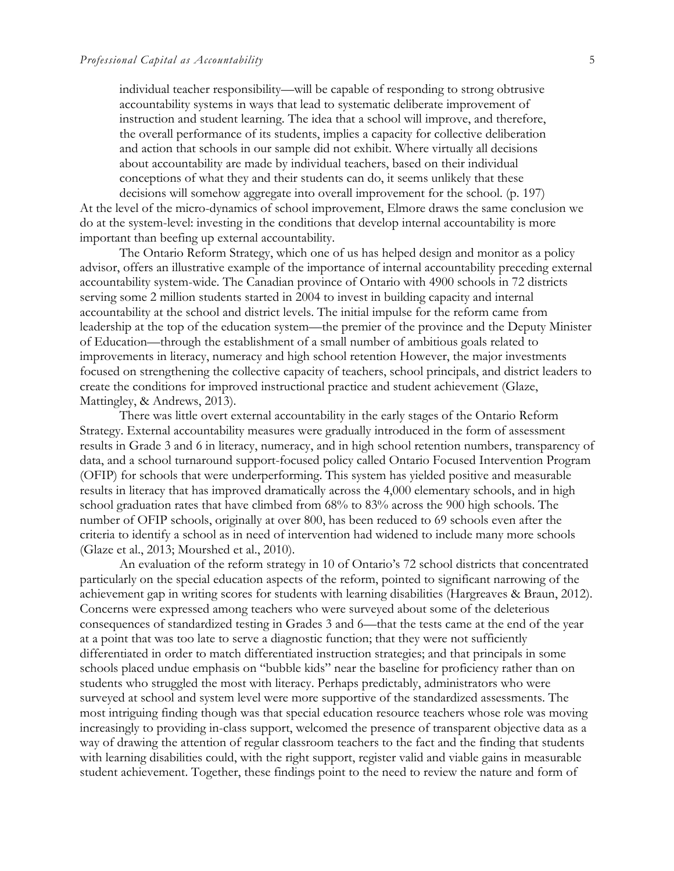individual teacher responsibility—will be capable of responding to strong obtrusive accountability systems in ways that lead to systematic deliberate improvement of instruction and student learning. The idea that a school will improve, and therefore, the overall performance of its students, implies a capacity for collective deliberation and action that schools in our sample did not exhibit. Where virtually all decisions about accountability are made by individual teachers, based on their individual conceptions of what they and their students can do, it seems unlikely that these

decisions will somehow aggregate into overall improvement for the school. (p. 197) At the level of the micro-dynamics of school improvement, Elmore draws the same conclusion we do at the system-level: investing in the conditions that develop internal accountability is more important than beefing up external accountability.

The Ontario Reform Strategy, which one of us has helped design and monitor as a policy advisor, offers an illustrative example of the importance of internal accountability preceding external accountability system-wide. The Canadian province of Ontario with 4900 schools in 72 districts serving some 2 million students started in 2004 to invest in building capacity and internal accountability at the school and district levels. The initial impulse for the reform came from leadership at the top of the education system—the premier of the province and the Deputy Minister of Education—through the establishment of a small number of ambitious goals related to improvements in literacy, numeracy and high school retention However, the major investments focused on strengthening the collective capacity of teachers, school principals, and district leaders to create the conditions for improved instructional practice and student achievement (Glaze, Mattingley, & Andrews, 2013).

There was little overt external accountability in the early stages of the Ontario Reform Strategy. External accountability measures were gradually introduced in the form of assessment results in Grade 3 and 6 in literacy, numeracy, and in high school retention numbers, transparency of data, and a school turnaround support-focused policy called Ontario Focused Intervention Program (OFIP) for schools that were underperforming. This system has yielded positive and measurable results in literacy that has improved dramatically across the 4,000 elementary schools, and in high school graduation rates that have climbed from 68% to 83% across the 900 high schools. The number of OFIP schools, originally at over 800, has been reduced to 69 schools even after the criteria to identify a school as in need of intervention had widened to include many more schools (Glaze et al., 2013; Mourshed et al., 2010).

An evaluation of the reform strategy in 10 of Ontario's 72 school districts that concentrated particularly on the special education aspects of the reform, pointed to significant narrowing of the achievement gap in writing scores for students with learning disabilities (Hargreaves & Braun, 2012). Concerns were expressed among teachers who were surveyed about some of the deleterious consequences of standardized testing in Grades 3 and 6—that the tests came at the end of the year at a point that was too late to serve a diagnostic function; that they were not sufficiently differentiated in order to match differentiated instruction strategies; and that principals in some schools placed undue emphasis on "bubble kids" near the baseline for proficiency rather than on students who struggled the most with literacy. Perhaps predictably, administrators who were surveyed at school and system level were more supportive of the standardized assessments. The most intriguing finding though was that special education resource teachers whose role was moving increasingly to providing in-class support, welcomed the presence of transparent objective data as a way of drawing the attention of regular classroom teachers to the fact and the finding that students with learning disabilities could, with the right support, register valid and viable gains in measurable student achievement. Together, these findings point to the need to review the nature and form of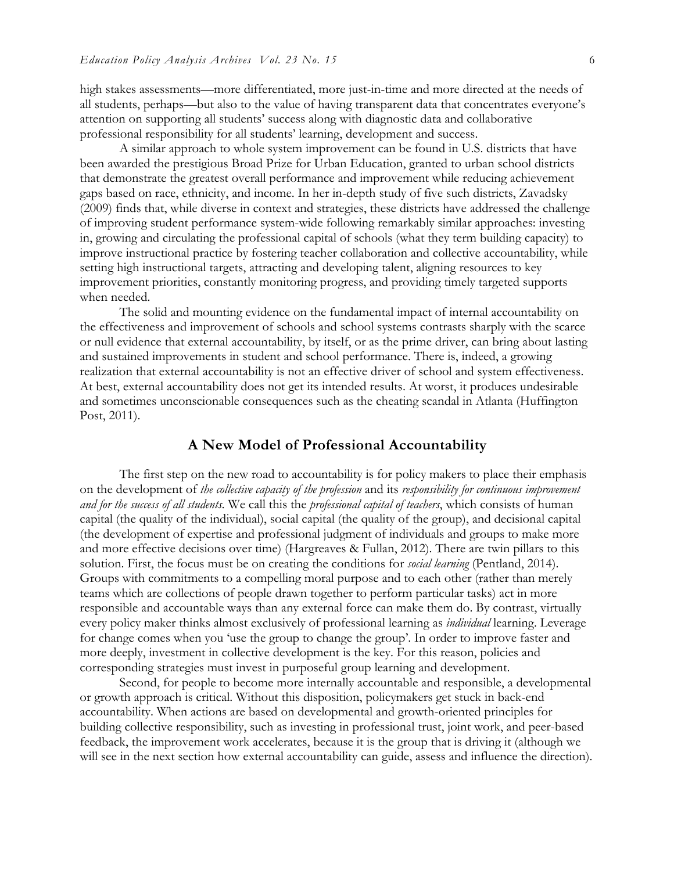high stakes assessments—more differentiated, more just-in-time and more directed at the needs of all students, perhaps—but also to the value of having transparent data that concentrates everyone's attention on supporting all students' success along with diagnostic data and collaborative professional responsibility for all students' learning, development and success.

A similar approach to whole system improvement can be found in U.S. districts that have been awarded the prestigious Broad Prize for Urban Education, granted to urban school districts that demonstrate the greatest overall performance and improvement while reducing achievement gaps based on race, ethnicity, and income. In her in-depth study of five such districts, Zavadsky (2009) finds that, while diverse in context and strategies, these districts have addressed the challenge of improving student performance system-wide following remarkably similar approaches: investing in, growing and circulating the professional capital of schools (what they term building capacity) to improve instructional practice by fostering teacher collaboration and collective accountability, while setting high instructional targets, attracting and developing talent, aligning resources to key improvement priorities, constantly monitoring progress, and providing timely targeted supports when needed.

The solid and mounting evidence on the fundamental impact of internal accountability on the effectiveness and improvement of schools and school systems contrasts sharply with the scarce or null evidence that external accountability, by itself, or as the prime driver, can bring about lasting and sustained improvements in student and school performance. There is, indeed, a growing realization that external accountability is not an effective driver of school and system effectiveness. At best, external accountability does not get its intended results. At worst, it produces undesirable and sometimes unconscionable consequences such as the cheating scandal in Atlanta (Huffington Post, 2011).

#### **A New Model of Professional Accountability**

The first step on the new road to accountability is for policy makers to place their emphasis on the development of *the collective capacity of the profession* and its *responsibility for continuous improvement and for the success of all students.* We call this the *professional capital of teachers*, which consists of human capital (the quality of the individual), social capital (the quality of the group), and decisional capital (the development of expertise and professional judgment of individuals and groups to make more and more effective decisions over time) (Hargreaves & Fullan, 2012). There are twin pillars to this solution. First, the focus must be on creating the conditions for *social learning* (Pentland, 2014). Groups with commitments to a compelling moral purpose and to each other (rather than merely teams which are collections of people drawn together to perform particular tasks) act in more responsible and accountable ways than any external force can make them do. By contrast, virtually every policy maker thinks almost exclusively of professional learning as *individual* learning. Leverage for change comes when you 'use the group to change the group'. In order to improve faster and more deeply, investment in collective development is the key. For this reason, policies and corresponding strategies must invest in purposeful group learning and development.

Second, for people to become more internally accountable and responsible, a developmental or growth approach is critical. Without this disposition, policymakers get stuck in back-end accountability. When actions are based on developmental and growth-oriented principles for building collective responsibility, such as investing in professional trust, joint work, and peer-based feedback, the improvement work accelerates, because it is the group that is driving it (although we will see in the next section how external accountability can guide, assess and influence the direction).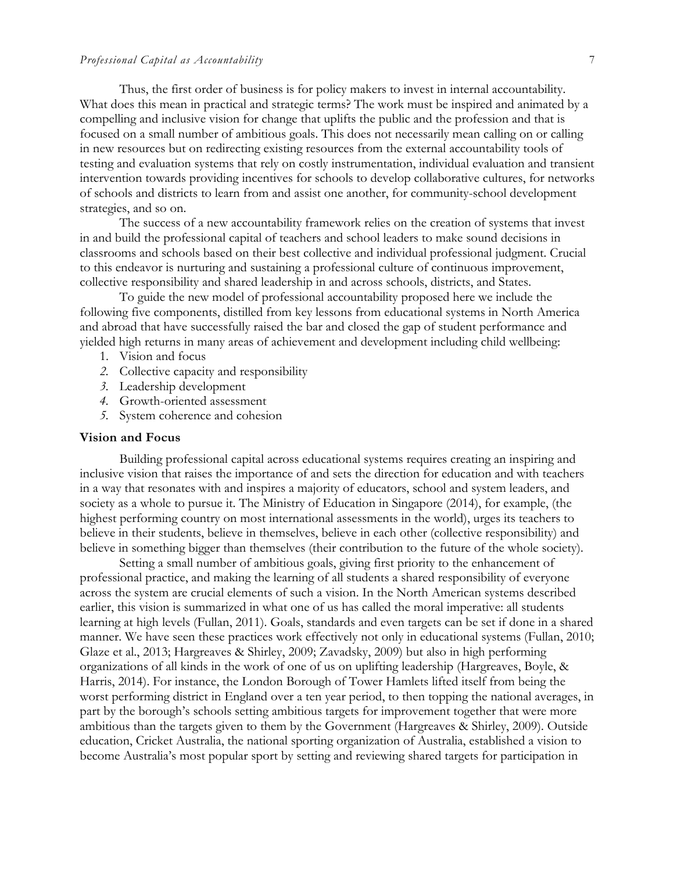#### *Professional Capital as Accountability* 7

Thus, the first order of business is for policy makers to invest in internal accountability. What does this mean in practical and strategic terms? The work must be inspired and animated by a compelling and inclusive vision for change that uplifts the public and the profession and that is focused on a small number of ambitious goals. This does not necessarily mean calling on or calling in new resources but on redirecting existing resources from the external accountability tools of testing and evaluation systems that rely on costly instrumentation, individual evaluation and transient intervention towards providing incentives for schools to develop collaborative cultures, for networks of schools and districts to learn from and assist one another, for community-school development strategies, and so on.

The success of a new accountability framework relies on the creation of systems that invest in and build the professional capital of teachers and school leaders to make sound decisions in classrooms and schools based on their best collective and individual professional judgment. Crucial to this endeavor is nurturing and sustaining a professional culture of continuous improvement, collective responsibility and shared leadership in and across schools, districts, and States.

To guide the new model of professional accountability proposed here we include the following five components, distilled from key lessons from educational systems in North America and abroad that have successfully raised the bar and closed the gap of student performance and yielded high returns in many areas of achievement and development including child wellbeing:

- 1. Vision and focus
- *2.* Collective capacity and responsibility
- *3.* Leadership development
- *4.* Growth-oriented assessment
- *5.* System coherence and cohesion

#### **Vision and Focus**

Building professional capital across educational systems requires creating an inspiring and inclusive vision that raises the importance of and sets the direction for education and with teachers in a way that resonates with and inspires a majority of educators, school and system leaders, and society as a whole to pursue it. The Ministry of Education in Singapore (2014), for example, (the highest performing country on most international assessments in the world), urges its teachers to believe in their students, believe in themselves, believe in each other (collective responsibility) and believe in something bigger than themselves (their contribution to the future of the whole society).

Setting a small number of ambitious goals, giving first priority to the enhancement of professional practice, and making the learning of all students a shared responsibility of everyone across the system are crucial elements of such a vision. In the North American systems described earlier, this vision is summarized in what one of us has called the moral imperative: all students learning at high levels (Fullan, 2011). Goals, standards and even targets can be set if done in a shared manner. We have seen these practices work effectively not only in educational systems (Fullan, 2010; Glaze et al., 2013; Hargreaves & Shirley, 2009; Zavadsky, 2009) but also in high performing organizations of all kinds in the work of one of us on uplifting leadership (Hargreaves, Boyle, & Harris, 2014). For instance, the London Borough of Tower Hamlets lifted itself from being the worst performing district in England over a ten year period, to then topping the national averages, in part by the borough's schools setting ambitious targets for improvement together that were more ambitious than the targets given to them by the Government (Hargreaves & Shirley, 2009). Outside education, Cricket Australia, the national sporting organization of Australia, established a vision to become Australia's most popular sport by setting and reviewing shared targets for participation in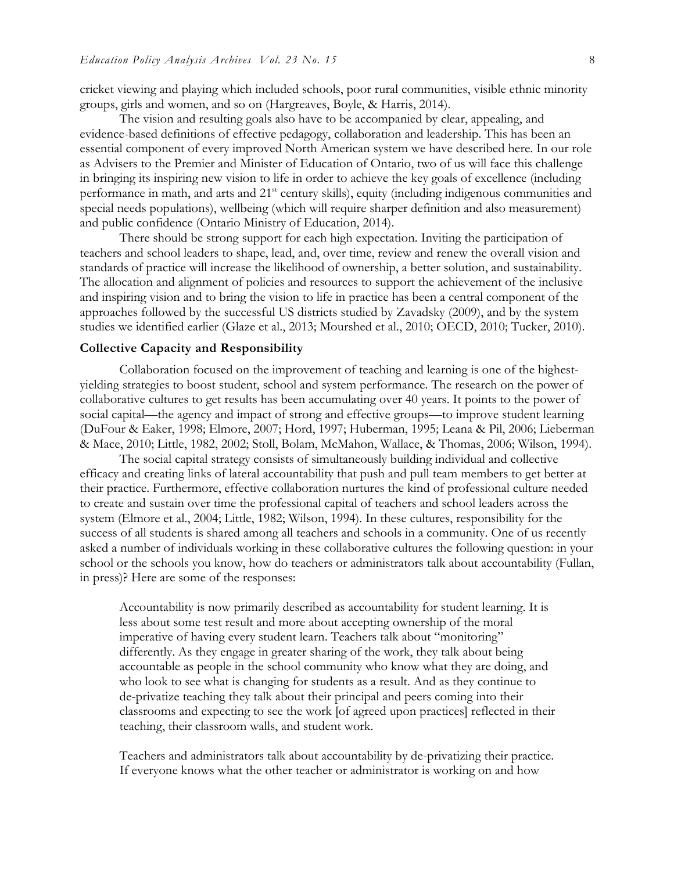cricket viewing and playing which included schools, poor rural communities, visible ethnic minority groups, girls and women, and so on (Hargreaves, Boyle, & Harris, 2014).

The vision and resulting goals also have to be accompanied by clear, appealing, and evidence-based definitions of effective pedagogy, collaboration and leadership. This has been an essential component of every improved North American system we have described here. In our role as Advisers to the Premier and Minister of Education of Ontario, two of us will face this challenge in bringing its inspiring new vision to life in order to achieve the key goals of excellence (including performance in math, and arts and 21<sup>st</sup> century skills), equity (including indigenous communities and special needs populations), wellbeing (which will require sharper definition and also measurement) and public confidence (Ontario Ministry of Education, 2014).

There should be strong support for each high expectation. Inviting the participation of teachers and school leaders to shape, lead, and, over time, review and renew the overall vision and standards of practice will increase the likelihood of ownership, a better solution, and sustainability. The allocation and alignment of policies and resources to support the achievement of the inclusive and inspiring vision and to bring the vision to life in practice has been a central component of the approaches followed by the successful US districts studied by Zavadsky (2009), and by the system studies we identified earlier (Glaze et al., 2013; Mourshed et al., 2010; OECD, 2010; Tucker, 2010).

#### **Collective Capacity and Responsibility**

Collaboration focused on the improvement of teaching and learning is one of the highestyielding strategies to boost student, school and system performance. The research on the power of collaborative cultures to get results has been accumulating over 40 years. It points to the power of social capital—the agency and impact of strong and effective groups—to improve student learning (DuFour & Eaker, 1998; Elmore, 2007; Hord, 1997; Huberman, 1995; Leana & Pil, 2006; Lieberman & Mace, 2010; Little, 1982, 2002; Stoll, Bolam, McMahon, Wallace, & Thomas, 2006; Wilson, 1994).

The social capital strategy consists of simultaneously building individual and collective efficacy and creating links of lateral accountability that push and pull team members to get better at their practice. Furthermore, effective collaboration nurtures the kind of professional culture needed to create and sustain over time the professional capital of teachers and school leaders across the system (Elmore et al., 2004; Little, 1982; Wilson, 1994). In these cultures, responsibility for the success of all students is shared among all teachers and schools in a community. One of us recently asked a number of individuals working in these collaborative cultures the following question: in your school or the schools you know, how do teachers or administrators talk about accountability (Fullan, in press)? Here are some of the responses:

Accountability is now primarily described as accountability for student learning. It is less about some test result and more about accepting ownership of the moral imperative of having every student learn. Teachers talk about "monitoring" differently. As they engage in greater sharing of the work, they talk about being accountable as people in the school community who know what they are doing, and who look to see what is changing for students as a result. And as they continue to de-privatize teaching they talk about their principal and peers coming into their classrooms and expecting to see the work [of agreed upon practices] reflected in their teaching, their classroom walls, and student work.

Teachers and administrators talk about accountability by de-privatizing their practice. If everyone knows what the other teacher or administrator is working on and how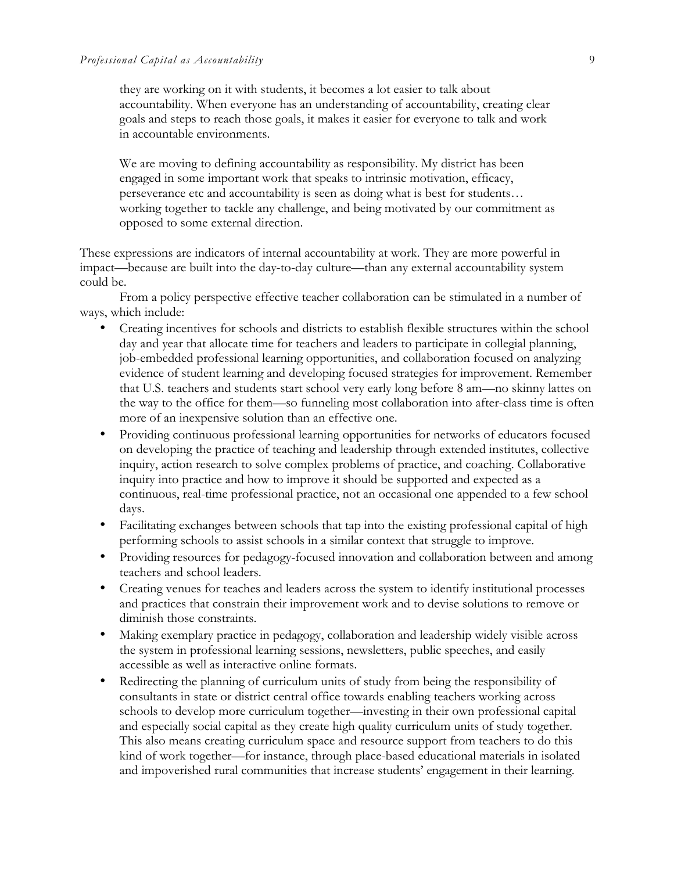they are working on it with students, it becomes a lot easier to talk about accountability. When everyone has an understanding of accountability, creating clear goals and steps to reach those goals, it makes it easier for everyone to talk and work in accountable environments.

We are moving to defining accountability as responsibility. My district has been engaged in some important work that speaks to intrinsic motivation, efficacy, perseverance etc and accountability is seen as doing what is best for students… working together to tackle any challenge, and being motivated by our commitment as opposed to some external direction.

These expressions are indicators of internal accountability at work. They are more powerful in impact—because are built into the day-to-day culture—than any external accountability system could be.

From a policy perspective effective teacher collaboration can be stimulated in a number of ways, which include:

- Creating incentives for schools and districts to establish flexible structures within the school day and year that allocate time for teachers and leaders to participate in collegial planning, job-embedded professional learning opportunities, and collaboration focused on analyzing evidence of student learning and developing focused strategies for improvement. Remember that U.S. teachers and students start school very early long before 8 am—no skinny lattes on the way to the office for them—so funneling most collaboration into after-class time is often more of an inexpensive solution than an effective one.
- Providing continuous professional learning opportunities for networks of educators focused on developing the practice of teaching and leadership through extended institutes, collective inquiry, action research to solve complex problems of practice, and coaching. Collaborative inquiry into practice and how to improve it should be supported and expected as a continuous, real-time professional practice, not an occasional one appended to a few school days.
- Facilitating exchanges between schools that tap into the existing professional capital of high performing schools to assist schools in a similar context that struggle to improve.
- Providing resources for pedagogy-focused innovation and collaboration between and among teachers and school leaders.
- Creating venues for teaches and leaders across the system to identify institutional processes and practices that constrain their improvement work and to devise solutions to remove or diminish those constraints.
- Making exemplary practice in pedagogy, collaboration and leadership widely visible across the system in professional learning sessions, newsletters, public speeches, and easily accessible as well as interactive online formats.
- Redirecting the planning of curriculum units of study from being the responsibility of consultants in state or district central office towards enabling teachers working across schools to develop more curriculum together—investing in their own professional capital and especially social capital as they create high quality curriculum units of study together. This also means creating curriculum space and resource support from teachers to do this kind of work together—for instance, through place-based educational materials in isolated and impoverished rural communities that increase students' engagement in their learning.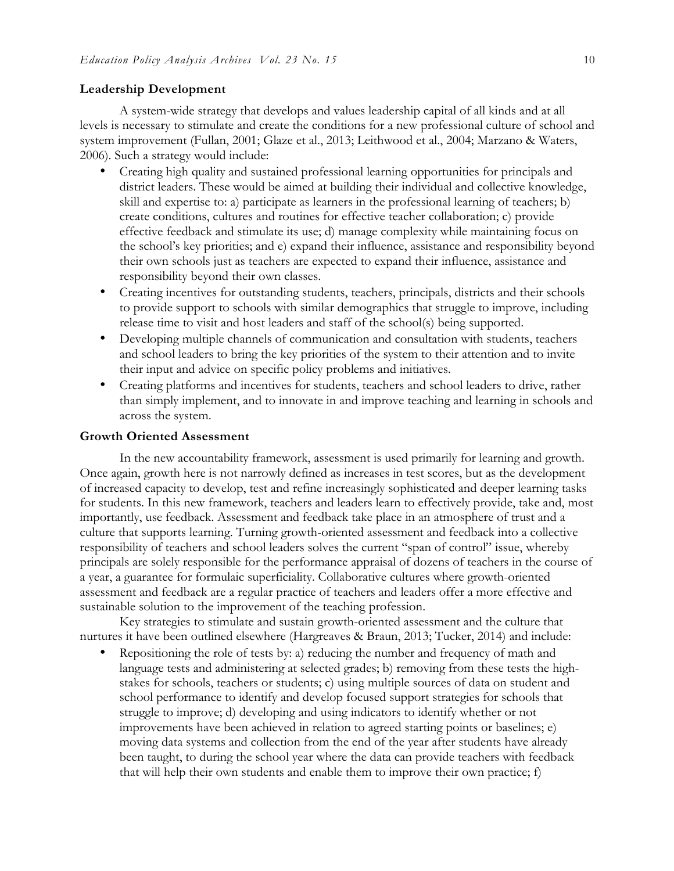#### **Leadership Development**

A system-wide strategy that develops and values leadership capital of all kinds and at all levels is necessary to stimulate and create the conditions for a new professional culture of school and system improvement (Fullan, 2001; Glaze et al., 2013; Leithwood et al., 2004; Marzano & Waters, 2006). Such a strategy would include:

- Creating high quality and sustained professional learning opportunities for principals and district leaders. These would be aimed at building their individual and collective knowledge, skill and expertise to: a) participate as learners in the professional learning of teachers; b) create conditions, cultures and routines for effective teacher collaboration; c) provide effective feedback and stimulate its use; d) manage complexity while maintaining focus on the school's key priorities; and e) expand their influence, assistance and responsibility beyond their own schools just as teachers are expected to expand their influence, assistance and responsibility beyond their own classes.
- Creating incentives for outstanding students, teachers, principals, districts and their schools to provide support to schools with similar demographics that struggle to improve, including release time to visit and host leaders and staff of the school(s) being supported.
- Developing multiple channels of communication and consultation with students, teachers and school leaders to bring the key priorities of the system to their attention and to invite their input and advice on specific policy problems and initiatives.
- Creating platforms and incentives for students, teachers and school leaders to drive, rather than simply implement, and to innovate in and improve teaching and learning in schools and across the system.

#### **Growth Oriented Assessment**

In the new accountability framework, assessment is used primarily for learning and growth. Once again, growth here is not narrowly defined as increases in test scores, but as the development of increased capacity to develop, test and refine increasingly sophisticated and deeper learning tasks for students. In this new framework, teachers and leaders learn to effectively provide, take and, most importantly, use feedback. Assessment and feedback take place in an atmosphere of trust and a culture that supports learning. Turning growth-oriented assessment and feedback into a collective responsibility of teachers and school leaders solves the current "span of control" issue, whereby principals are solely responsible for the performance appraisal of dozens of teachers in the course of a year, a guarantee for formulaic superficiality. Collaborative cultures where growth-oriented assessment and feedback are a regular practice of teachers and leaders offer a more effective and sustainable solution to the improvement of the teaching profession.

Key strategies to stimulate and sustain growth-oriented assessment and the culture that nurtures it have been outlined elsewhere (Hargreaves & Braun, 2013; Tucker, 2014) and include:

• Repositioning the role of tests by: a) reducing the number and frequency of math and language tests and administering at selected grades; b) removing from these tests the highstakes for schools, teachers or students; c) using multiple sources of data on student and school performance to identify and develop focused support strategies for schools that struggle to improve; d) developing and using indicators to identify whether or not improvements have been achieved in relation to agreed starting points or baselines; e) moving data systems and collection from the end of the year after students have already been taught, to during the school year where the data can provide teachers with feedback that will help their own students and enable them to improve their own practice; f)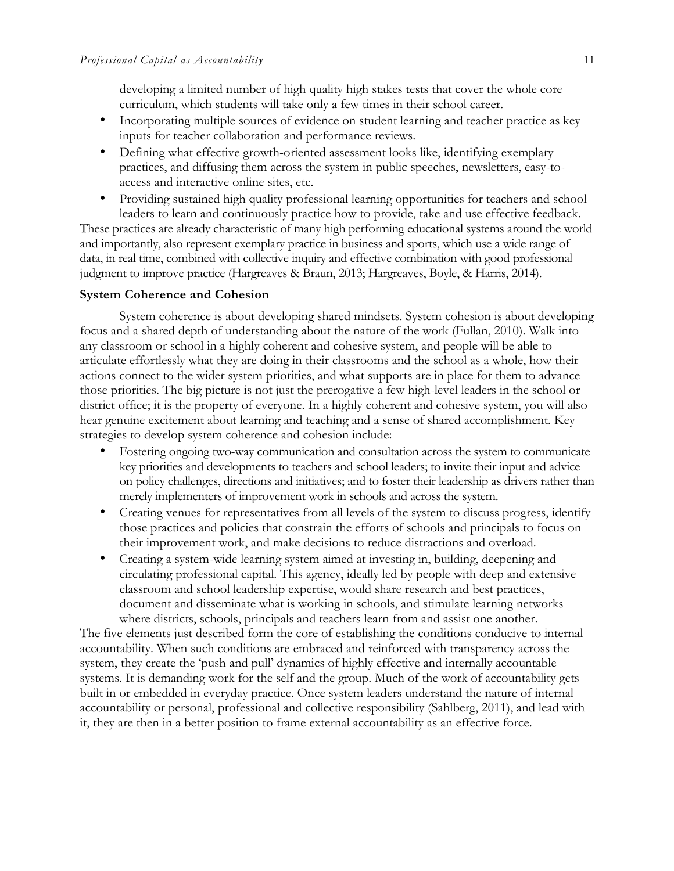developing a limited number of high quality high stakes tests that cover the whole core curriculum, which students will take only a few times in their school career.

- Incorporating multiple sources of evidence on student learning and teacher practice as key inputs for teacher collaboration and performance reviews.
- Defining what effective growth-oriented assessment looks like, identifying exemplary practices, and diffusing them across the system in public speeches, newsletters, easy-toaccess and interactive online sites, etc.
- Providing sustained high quality professional learning opportunities for teachers and school leaders to learn and continuously practice how to provide, take and use effective feedback.

These practices are already characteristic of many high performing educational systems around the world and importantly, also represent exemplary practice in business and sports, which use a wide range of data, in real time, combined with collective inquiry and effective combination with good professional judgment to improve practice (Hargreaves & Braun, 2013; Hargreaves, Boyle, & Harris, 2014).

#### **System Coherence and Cohesion**

System coherence is about developing shared mindsets. System cohesion is about developing focus and a shared depth of understanding about the nature of the work (Fullan, 2010). Walk into any classroom or school in a highly coherent and cohesive system, and people will be able to articulate effortlessly what they are doing in their classrooms and the school as a whole, how their actions connect to the wider system priorities, and what supports are in place for them to advance those priorities. The big picture is not just the prerogative a few high-level leaders in the school or district office; it is the property of everyone. In a highly coherent and cohesive system, you will also hear genuine excitement about learning and teaching and a sense of shared accomplishment. Key strategies to develop system coherence and cohesion include:

- Fostering ongoing two-way communication and consultation across the system to communicate key priorities and developments to teachers and school leaders; to invite their input and advice on policy challenges, directions and initiatives; and to foster their leadership as drivers rather than merely implementers of improvement work in schools and across the system.
- Creating venues for representatives from all levels of the system to discuss progress, identify those practices and policies that constrain the efforts of schools and principals to focus on their improvement work, and make decisions to reduce distractions and overload.
- Creating a system-wide learning system aimed at investing in, building, deepening and circulating professional capital. This agency, ideally led by people with deep and extensive classroom and school leadership expertise, would share research and best practices, document and disseminate what is working in schools, and stimulate learning networks where districts, schools, principals and teachers learn from and assist one another.

The five elements just described form the core of establishing the conditions conducive to internal accountability. When such conditions are embraced and reinforced with transparency across the system, they create the 'push and pull' dynamics of highly effective and internally accountable systems. It is demanding work for the self and the group. Much of the work of accountability gets built in or embedded in everyday practice. Once system leaders understand the nature of internal accountability or personal, professional and collective responsibility (Sahlberg, 2011), and lead with it, they are then in a better position to frame external accountability as an effective force.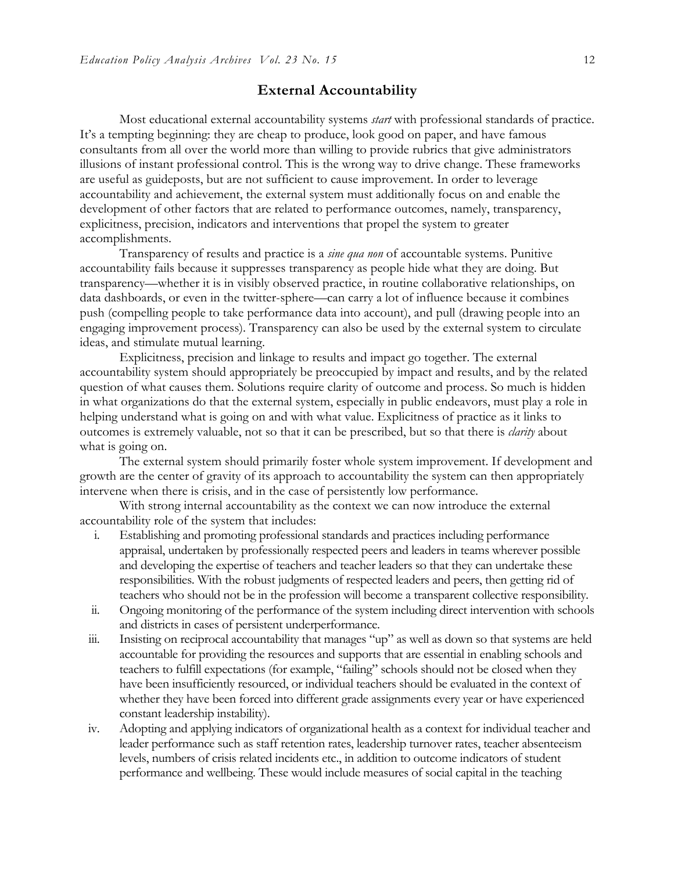#### **External Accountability**

Most educational external accountability systems *start* with professional standards of practice. It's a tempting beginning: they are cheap to produce, look good on paper, and have famous consultants from all over the world more than willing to provide rubrics that give administrators illusions of instant professional control. This is the wrong way to drive change. These frameworks are useful as guideposts, but are not sufficient to cause improvement. In order to leverage accountability and achievement, the external system must additionally focus on and enable the development of other factors that are related to performance outcomes, namely, transparency, explicitness, precision, indicators and interventions that propel the system to greater accomplishments.

Transparency of results and practice is a *sine qua non* of accountable systems. Punitive accountability fails because it suppresses transparency as people hide what they are doing. But transparency—whether it is in visibly observed practice, in routine collaborative relationships, on data dashboards, or even in the twitter-sphere—can carry a lot of influence because it combines push (compelling people to take performance data into account), and pull (drawing people into an engaging improvement process). Transparency can also be used by the external system to circulate ideas, and stimulate mutual learning.

Explicitness, precision and linkage to results and impact go together. The external accountability system should appropriately be preoccupied by impact and results, and by the related question of what causes them. Solutions require clarity of outcome and process. So much is hidden in what organizations do that the external system, especially in public endeavors, must play a role in helping understand what is going on and with what value. Explicitness of practice as it links to outcomes is extremely valuable, not so that it can be prescribed, but so that there is *clarity* about what is going on.

The external system should primarily foster whole system improvement. If development and growth are the center of gravity of its approach to accountability the system can then appropriately intervene when there is crisis, and in the case of persistently low performance.

With strong internal accountability as the context we can now introduce the external accountability role of the system that includes:

- i. Establishing and promoting professional standards and practices including performance appraisal, undertaken by professionally respected peers and leaders in teams wherever possible and developing the expertise of teachers and teacher leaders so that they can undertake these responsibilities. With the robust judgments of respected leaders and peers, then getting rid of teachers who should not be in the profession will become a transparent collective responsibility.
- ii. Ongoing monitoring of the performance of the system including direct intervention with schools and districts in cases of persistent underperformance.
- iii. Insisting on reciprocal accountability that manages "up" as well as down so that systems are held accountable for providing the resources and supports that are essential in enabling schools and teachers to fulfill expectations (for example, "failing" schools should not be closed when they have been insufficiently resourced, or individual teachers should be evaluated in the context of whether they have been forced into different grade assignments every year or have experienced constant leadership instability).
- iv. Adopting and applying indicators of organizational health as a context for individual teacher and leader performance such as staff retention rates, leadership turnover rates, teacher absenteeism levels, numbers of crisis related incidents etc., in addition to outcome indicators of student performance and wellbeing. These would include measures of social capital in the teaching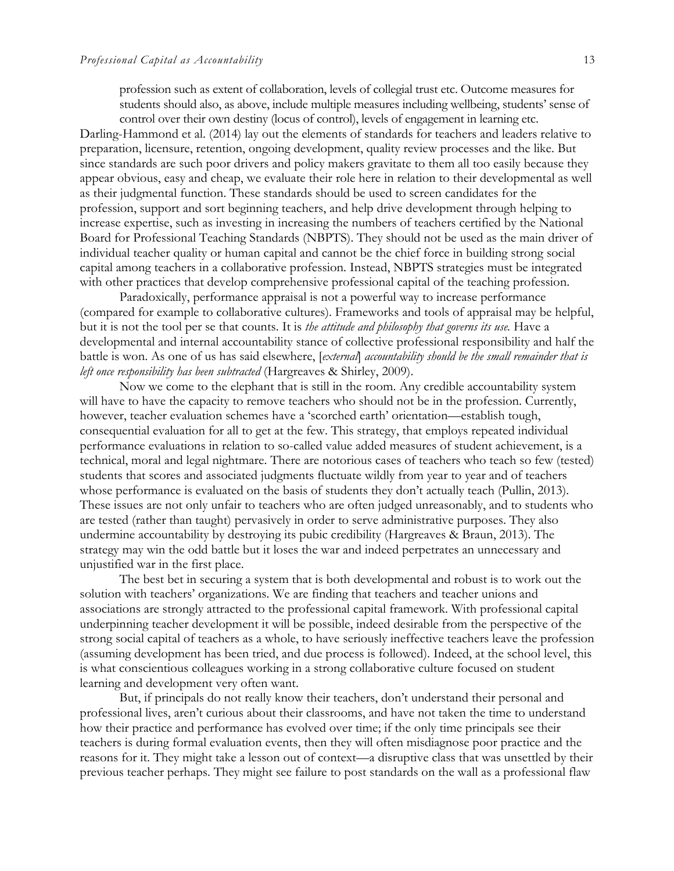profession such as extent of collaboration, levels of collegial trust etc. Outcome measures for students should also, as above, include multiple measures including wellbeing, students' sense of control over their own destiny (locus of control), levels of engagement in learning etc.

Darling-Hammond et al. (2014) lay out the elements of standards for teachers and leaders relative to preparation, licensure, retention, ongoing development, quality review processes and the like. But since standards are such poor drivers and policy makers gravitate to them all too easily because they appear obvious, easy and cheap, we evaluate their role here in relation to their developmental as well as their judgmental function. These standards should be used to screen candidates for the profession, support and sort beginning teachers, and help drive development through helping to increase expertise, such as investing in increasing the numbers of teachers certified by the National Board for Professional Teaching Standards (NBPTS). They should not be used as the main driver of individual teacher quality or human capital and cannot be the chief force in building strong social capital among teachers in a collaborative profession. Instead, NBPTS strategies must be integrated with other practices that develop comprehensive professional capital of the teaching profession.

Paradoxically, performance appraisal is not a powerful way to increase performance (compared for example to collaborative cultures). Frameworks and tools of appraisal may be helpful, but it is not the tool per se that counts. It is *the attitude and philosophy that governs its use.* Have a developmental and internal accountability stance of collective professional responsibility and half the battle is won. As one of us has said elsewhere, [*external*] *accountability should be the small remainder that is left once responsibility has been subtracted* (Hargreaves & Shirley, 2009).

Now we come to the elephant that is still in the room. Any credible accountability system will have to have the capacity to remove teachers who should not be in the profession. Currently, however, teacher evaluation schemes have a 'scorched earth' orientation—establish tough, consequential evaluation for all to get at the few. This strategy, that employs repeated individual performance evaluations in relation to so-called value added measures of student achievement, is a technical, moral and legal nightmare. There are notorious cases of teachers who teach so few (tested) students that scores and associated judgments fluctuate wildly from year to year and of teachers whose performance is evaluated on the basis of students they don't actually teach (Pullin, 2013). These issues are not only unfair to teachers who are often judged unreasonably, and to students who are tested (rather than taught) pervasively in order to serve administrative purposes. They also undermine accountability by destroying its pubic credibility (Hargreaves & Braun, 2013). The strategy may win the odd battle but it loses the war and indeed perpetrates an unnecessary and unjustified war in the first place.

The best bet in securing a system that is both developmental and robust is to work out the solution with teachers' organizations. We are finding that teachers and teacher unions and associations are strongly attracted to the professional capital framework. With professional capital underpinning teacher development it will be possible, indeed desirable from the perspective of the strong social capital of teachers as a whole, to have seriously ineffective teachers leave the profession (assuming development has been tried, and due process is followed). Indeed, at the school level, this is what conscientious colleagues working in a strong collaborative culture focused on student learning and development very often want.

But, if principals do not really know their teachers, don't understand their personal and professional lives, aren't curious about their classrooms, and have not taken the time to understand how their practice and performance has evolved over time; if the only time principals see their teachers is during formal evaluation events, then they will often misdiagnose poor practice and the reasons for it. They might take a lesson out of context—a disruptive class that was unsettled by their previous teacher perhaps. They might see failure to post standards on the wall as a professional flaw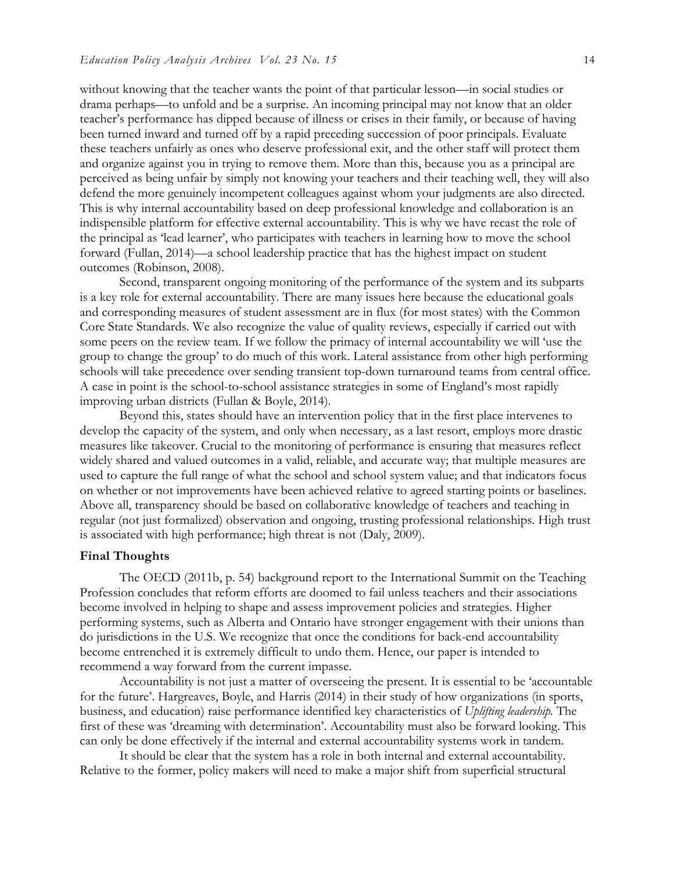without knowing that the teacher wants the point of that particular lesson—in social studies or drama perhaps—to unfold and be a surprise. An incoming principal may not know that an older teacher's performance has dipped because of illness or crises in their family, or because of having been turned inward and turned off by a rapid preceding succession of poor principals. Evaluate these teachers unfairly as ones who deserve professional exit, and the other staff will protect them and organize against you in trying to remove them. More than this, because you as a principal are perceived as being unfair by simply not knowing your teachers and their teaching well, they will also defend the more genuinely incompetent colleagues against whom your judgments are also directed. This is why internal accountability based on deep professional knowledge and collaboration is an indispensible platform for effective external accountability. This is why we have recast the role of the principal as 'lead learner', who participates with teachers in learning how to move the school forward (Fullan, 2014)—a school leadership practice that has the highest impact on student outcomes (Robinson, 2008).

Second, transparent ongoing monitoring of the performance of the system and its subparts is a key role for external accountability. There are many issues here because the educational goals and corresponding measures of student assessment are in flux (for most states) with the Common Core State Standards. We also recognize the value of quality reviews, especially if carried out with some peers on the review team. If we follow the primacy of internal accountability we will 'use the group to change the group' to do much of this work. Lateral assistance from other high performing schools will take precedence over sending transient top-down turnaround teams from central office. A case in point is the school-to-school assistance strategies in some of England's most rapidly improving urban districts (Fullan & Boyle, 2014).

Beyond this, states should have an intervention policy that in the first place intervenes to develop the capacity of the system, and only when necessary, as a last resort, employs more drastic measures like takeover. Crucial to the monitoring of performance is ensuring that measures reflect widely shared and valued outcomes in a valid, reliable, and accurate way; that multiple measures are used to capture the full range of what the school and school system value; and that indicators focus on whether or not improvements have been achieved relative to agreed starting points or baselines. Above all, transparency should be based on collaborative knowledge of teachers and teaching in regular (not just formalized) observation and ongoing, trusting professional relationships. High trust is associated with high performance; high threat is not (Daly, 2009).

#### **Final Thoughts**

The OECD (2011b, p. 54) background report to the International Summit on the Teaching Profession concludes that reform efforts are doomed to fail unless teachers and their associations become involved in helping to shape and assess improvement policies and strategies. Higher performing systems, such as Alberta and Ontario have stronger engagement with their unions than do jurisdictions in the U.S. We recognize that once the conditions for back-end accountability become entrenched it is extremely difficult to undo them. Hence, our paper is intended to recommend a way forward from the current impasse.

Accountability is not just a matter of overseeing the present. It is essential to be 'accountable for the future'. Hargreaves, Boyle, and Harris (2014) in their study of how organizations (in sports, business, and education) raise performance identified key characteristics of *Uplifting leadership.* The first of these was 'dreaming with determination'. Accountability must also be forward looking. This can only be done effectively if the internal and external accountability systems work in tandem.

It should be clear that the system has a role in both internal and external accountability. Relative to the former, policy makers will need to make a major shift from superficial structural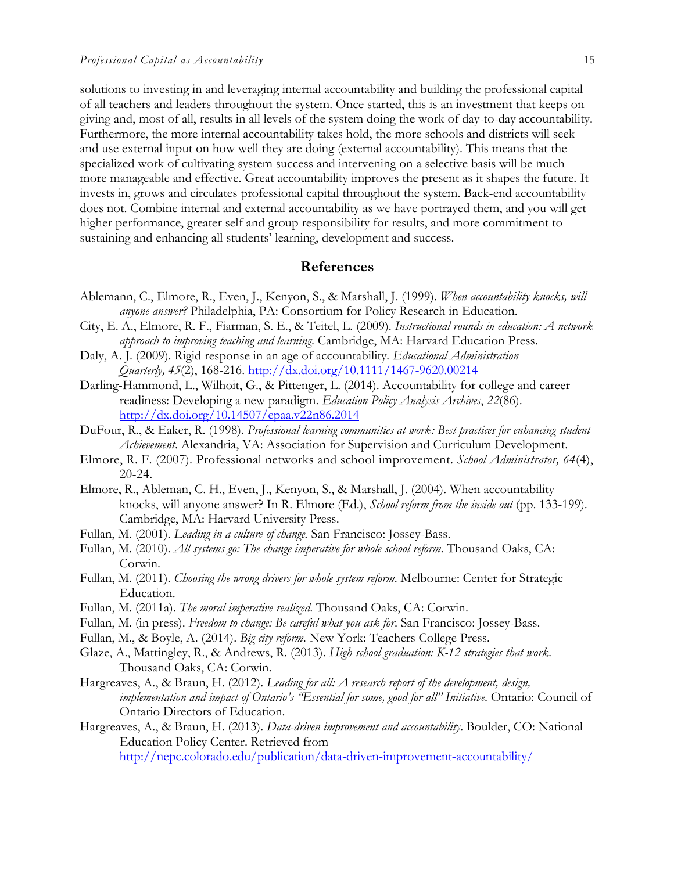solutions to investing in and leveraging internal accountability and building the professional capital of all teachers and leaders throughout the system. Once started, this is an investment that keeps on giving and, most of all, results in all levels of the system doing the work of day-to-day accountability. Furthermore, the more internal accountability takes hold, the more schools and districts will seek and use external input on how well they are doing (external accountability). This means that the specialized work of cultivating system success and intervening on a selective basis will be much more manageable and effective. Great accountability improves the present as it shapes the future. It invests in, grows and circulates professional capital throughout the system. Back-end accountability does not. Combine internal and external accountability as we have portrayed them, and you will get higher performance, greater self and group responsibility for results, and more commitment to sustaining and enhancing all students' learning, development and success.

#### **References**

- Ablemann, C., Elmore, R., Even, J., Kenyon, S., & Marshall, J. (1999). *When accountability knocks, will anyone answer?* Philadelphia, PA: Consortium for Policy Research in Education.
- City, E. A., Elmore, R. F., Fiarman, S. E., & Teitel, L. (2009). *Instructional rounds in education: A network approach to improving teaching and learning*. Cambridge, MA: Harvard Education Press.
- Daly, A. J. (2009). Rigid response in an age of accountability*. Educational Administration Quarterly, 45*(2), 168-216. http://dx.doi.org/10.1111/1467-9620.00214
- Darling-Hammond, L., Wilhoit, G., & Pittenger, L. (2014). Accountability for college and career readiness: Developing a new paradigm. *Education Policy Analysis Archives*, *22*(86). http://dx.doi.org/10.14507/epaa.v22n86.2014
- DuFour, R., & Eaker, R. (1998). *Professional learning communities at work: Best practices for enhancing student Achievement*. Alexandria, VA: Association for Supervision and Curriculum Development.
- Elmore, R. F. (2007). Professional networks and school improvement. *School Administrator, 64*(4), 20-24.
- Elmore, R., Ableman, C. H., Even, J., Kenyon, S., & Marshall, J. (2004). When accountability knocks, will anyone answer? In R. Elmore (Ed.), *School reform from the inside out* (pp. 133-199). Cambridge, MA: Harvard University Press.
- Fullan, M. (2001). *Leading in a culture of change.* San Francisco: Jossey-Bass.
- Fullan, M. (2010). *All systems go: The change imperative for whole school reform*. Thousand Oaks, CA: Corwin.
- Fullan, M. (2011). *Choosing the wrong drivers for whole system reform*. Melbourne: Center for Strategic Education.
- Fullan, M. (2011a). *The moral imperative realized*. Thousand Oaks, CA: Corwin.
- Fullan, M. (in press). *Freedom to change: Be careful what you ask for*. San Francisco: Jossey-Bass.
- Fullan, M., & Boyle, A. (2014). *Big city reform*. New York: Teachers College Press.
- Glaze, A., Mattingley, R., & Andrews, R. (2013). *High school graduation: K-12 strategies that work.*  Thousand Oaks, CA: Corwin.
- Hargreaves, A., & Braun, H. (2012). *Leading for all: A research report of the development, design, implementation and impact of Ontario's "Essential for some, good for all" Initiative*. Ontario: Council of Ontario Directors of Education.
- Hargreaves, A., & Braun, H. (2013). *Data-driven improvement and accountability*. Boulder, CO: National Education Policy Center. Retrieved from http://nepc.colorado.edu/publication/data-driven-improvement-accountability/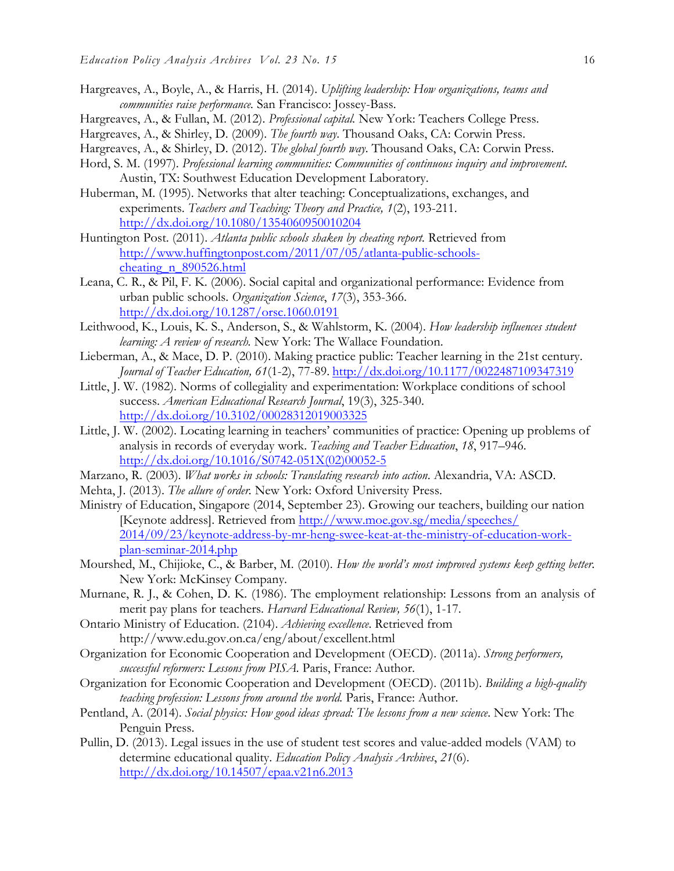- Hargreaves, A., Boyle, A., & Harris, H. (2014). *Uplifting leadership: How organizations, teams and communities raise performance.* San Francisco: Jossey-Bass.
- Hargreaves, A., & Fullan, M. (2012). *Professional capital.* New York: Teachers College Press.
- Hargreaves, A., & Shirley, D. (2009). *The fourth way*. Thousand Oaks, CA: Corwin Press.
- Hargreaves, A., & Shirley, D. (2012). *The global fourth way*. Thousand Oaks, CA: Corwin Press.
- Hord, S. M. (1997). *Professional learning communities: Communities of continuous inquiry and improvement*. Austin, TX: Southwest Education Development Laboratory.
- Huberman, M. (1995). Networks that alter teaching: Conceptualizations, exchanges, and experiments. *Teachers and Teaching: Theory and Practice, 1*(2), 193-211. http://dx.doi.org/10.1080/1354060950010204
- Huntington Post. (2011). *Atlanta public schools shaken by cheating report.* Retrieved from http://www.huffingtonpost.com/2011/07/05/atlanta-public-schoolscheating\_n\_890526.html
- Leana, C. R., & Pil, F. K. (2006). Social capital and organizational performance: Evidence from urban public schools. *Organization Science*, *17*(3), 353-366. http://dx.doi.org/10.1287/orsc.1060.0191
- Leithwood, K., Louis, K. S., Anderson, S., & Wahlstorm, K. (2004). *How leadership influences student learning: A review of research.* New York: The Wallace Foundation.
- Lieberman, A., & Mace, D. P. (2010). Making practice public: Teacher learning in the 21st century. *Journal of Teacher Education, 61*(1-2), 77-89. http://dx.doi.org/10.1177/0022487109347319
- Little, J. W. (1982). Norms of collegiality and experimentation: Workplace conditions of school success. *American Educational Research Journal*, 19(3), 325-340. http://dx.doi.org/10.3102/00028312019003325
- Little, J. W. (2002). Locating learning in teachers' communities of practice: Opening up problems of analysis in records of everyday work. *Teaching and Teacher Education*, *18*, 917–946. http://dx.doi.org/10.1016/S0742-051X(02)00052-5
- Marzano, R. (2003). *What works in schools: Translating research into action*. Alexandria, VA: ASCD.
- Mehta, J. (2013). *The allure of order.* New York: Oxford University Press.
- Ministry of Education, Singapore (2014, September 23). Growing our teachers, building our nation [Keynote address]. Retrieved from http://www.moe.gov.sg/media/speeches/ 2014/09/23/keynote-address-by-mr-heng-swee-keat-at-the-ministry-of-education-workplan-seminar-2014.php
- Mourshed, M., Chijioke, C., & Barber, M. (2010). *How the world's most improved systems keep getting better.*  New York: McKinsey Company.
- Murnane, R. J., & Cohen, D. K. (1986). The employment relationship: Lessons from an analysis of merit pay plans for teachers. *Harvard Educational Review, 56*(1), 1-17.
- Ontario Ministry of Education. (2104). *Achieving excellence*. Retrieved from http://www.edu.gov.on.ca/eng/about/excellent.html
- Organization for Economic Cooperation and Development (OECD). (2011a). *Strong performers, successful reformers: Lessons from PISA.* Paris, France: Author.
- Organization for Economic Cooperation and Development (OECD). (2011b). *Building a high-quality teaching profession: Lessons from around the world. Paris, France: Author.*
- Pentland, A. (2014). *Social physics: How good ideas spread: The lessons from a new science*. New York: The Penguin Press.
- Pullin, D. (2013). Legal issues in the use of student test scores and value-added models (VAM) to determine educational quality. *Education Policy Analysis Archives*, *21*(6). http://dx.doi.org/10.14507/epaa.v21n6.2013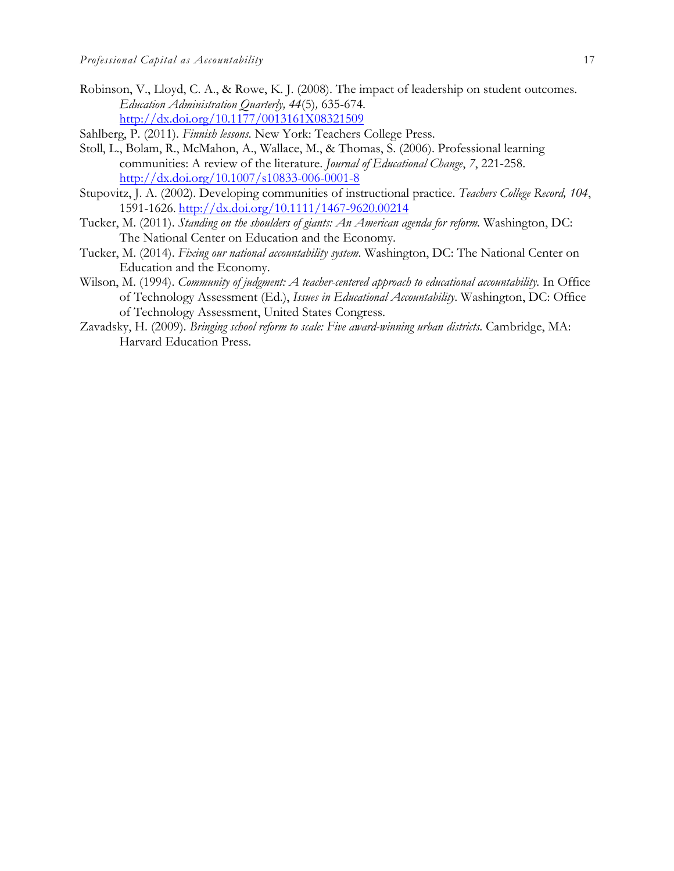- Robinson, V., Lloyd, C. A., & Rowe, K. J. (2008). The impact of leadership on student outcomes. *Education Administration Quarterly, 44*(5)*,* 635-674. http://dx.doi.org/10.1177/0013161X08321509
- Sahlberg, P. (2011). *Finnish lessons*. New York: Teachers College Press.
- Stoll, L., Bolam, R., McMahon, A., Wallace, M., & Thomas, S. (2006). Professional learning communities: A review of the literature. *Journal of Educational Change*, *7*, 221-258. http://dx.doi.org/10.1007/s10833-006-0001-8
- Stupovitz, J. A. (2002). Developing communities of instructional practice. *Teachers College Record, 104*, 1591-1626. http://dx.doi.org/10.1111/1467-9620.00214
- Tucker, M. (2011). *Standing on the shoulders of giants: An American agenda for reform.* Washington, DC: The National Center on Education and the Economy.
- Tucker, M. (2014). *Fixing our national accountability system*. Washington, DC: The National Center on Education and the Economy.
- Wilson, M. (1994). *Community of judgment: A teacher-centered approach to educational accountability*. In Office of Technology Assessment (Ed.), *Issues in Educational Accountability*. Washington, DC: Office of Technology Assessment, United States Congress.
- Zavadsky, H. (2009). *Bringing school reform to scale: Five award-winning urban districts*. Cambridge, MA: Harvard Education Press.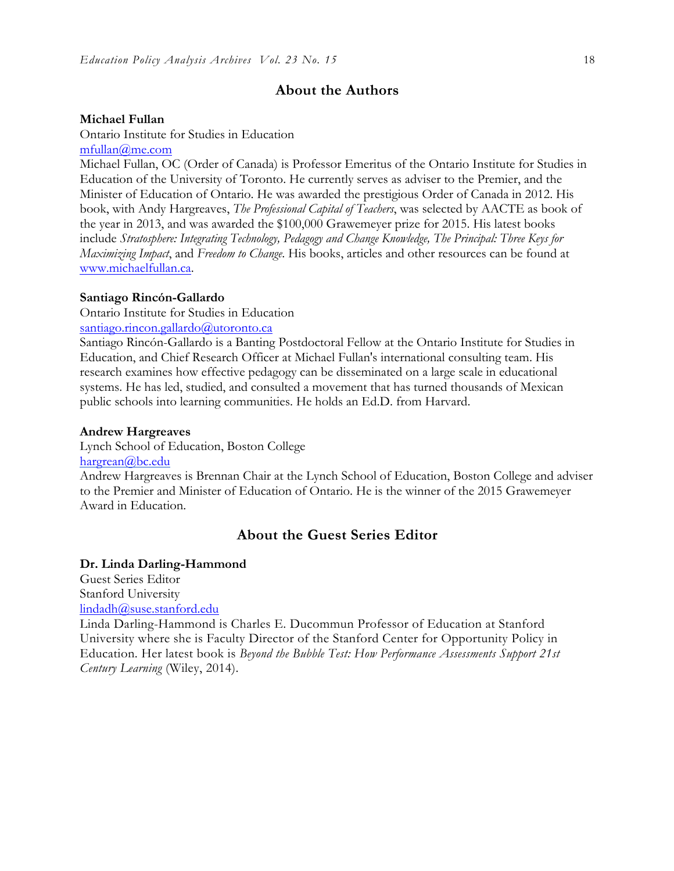### **About the Authors**

#### **Michael Fullan**

Ontario Institute for Studies in Education mfullan@me.com

Michael Fullan, OC (Order of Canada) is Professor Emeritus of the Ontario Institute for Studies in Education of the University of Toronto. He currently serves as adviser to the Premier, and the Minister of Education of Ontario. He was awarded the prestigious Order of Canada in 2012. His book, with Andy Hargreaves, *The Professional Capital of Teachers*, was selected by AACTE as book of the year in 2013, and was awarded the \$100,000 Grawemeyer prize for 2015. His latest books include *Stratosphere: Integrating Technology, Pedagogy and Change Knowledge, The Principal: Three Keys for Maximizing Impact*, and *Freedom to Change*. His books, articles and other resources can be found at www.michaelfullan.ca.

#### **Santiago Rincón-Gallardo**

Ontario Institute for Studies in Education

#### santiago.rincon.gallardo@utoronto.ca

Santiago Rincón-Gallardo is a Banting Postdoctoral Fellow at the Ontario Institute for Studies in Education, and Chief Research Officer at Michael Fullan's international consulting team. His research examines how effective pedagogy can be disseminated on a large scale in educational systems. He has led, studied, and consulted a movement that has turned thousands of Mexican public schools into learning communities. He holds an Ed.D. from Harvard.

#### **Andrew Hargreaves**

Lynch School of Education, Boston College

hargrean@bc.edu

Andrew Hargreaves is Brennan Chair at the Lynch School of Education, Boston College and adviser to the Premier and Minister of Education of Ontario. He is the winner of the 2015 Grawemeyer Award in Education.

### **About the Guest Series Editor**

#### **Dr. Linda Darling-Hammond**

Guest Series Editor Stanford University lindadh@suse.stanford.edu

Linda Darling-Hammond is Charles E. Ducommun Professor of Education at Stanford University where she is Faculty Director of the Stanford Center for Opportunity Policy in Education. Her latest book is *Beyond the Bubble Test: How Performance Assessments Support 21st Century Learning* (Wiley, 2014).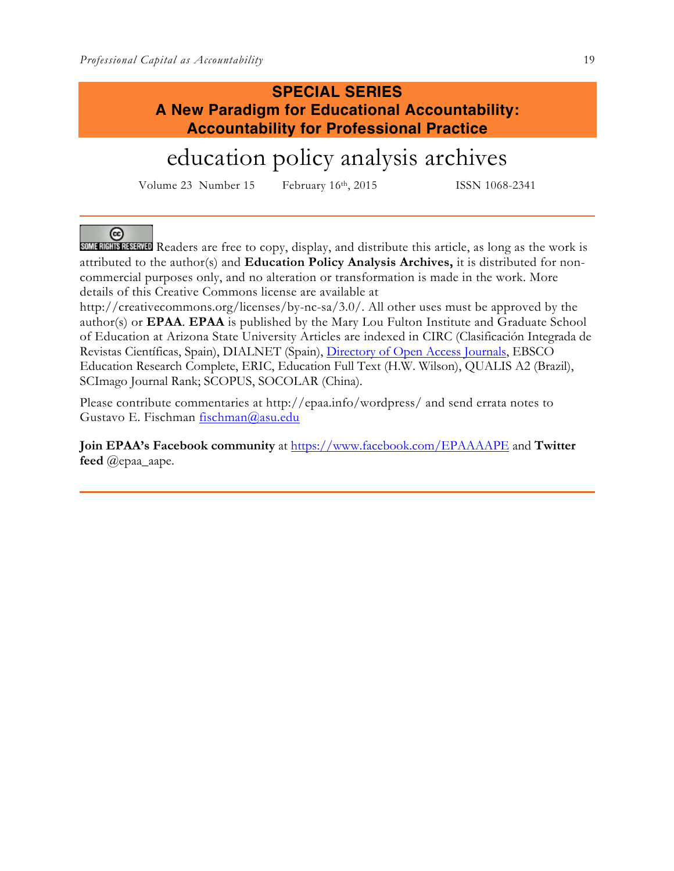# **SPECIAL SERIES A New Paradigm for Educational Accountability: Accountability for Professional Practice**

# education policy analysis archives

Volume 23 Number 15 February 16<sup>th</sup>, 2015 ISSN 1068-2341

 $(c<sub>c</sub>)$ 

**SOME RIGHTS RESERVED** Readers are free to copy, display, and distribute this article, as long as the work is attributed to the author(s) and **Education Policy Analysis Archives,** it is distributed for noncommercial purposes only, and no alteration or transformation is made in the work. More details of this Creative Commons license are available at

http://creativecommons.org/licenses/by-nc-sa/3.0/. All other uses must be approved by the author(s) or **EPAA**. **EPAA** is published by the Mary Lou Fulton Institute and Graduate School of Education at Arizona State University Articles are indexed in CIRC (Clasificación Integrada de Revistas Científicas, Spain), DIALNET (Spain), Directory of Open Access Journals, EBSCO Education Research Complete, ERIC, Education Full Text (H.W. Wilson), QUALIS A2 (Brazil), SCImago Journal Rank; SCOPUS, SOCOLAR (China).

Please contribute commentaries at http://epaa.info/wordpress/ and send errata notes to Gustavo E. Fischman fischman@asu.edu

**Join EPAA's Facebook community** at https://www.facebook.com/EPAAAAPE and **Twitter feed** @epaa\_aape.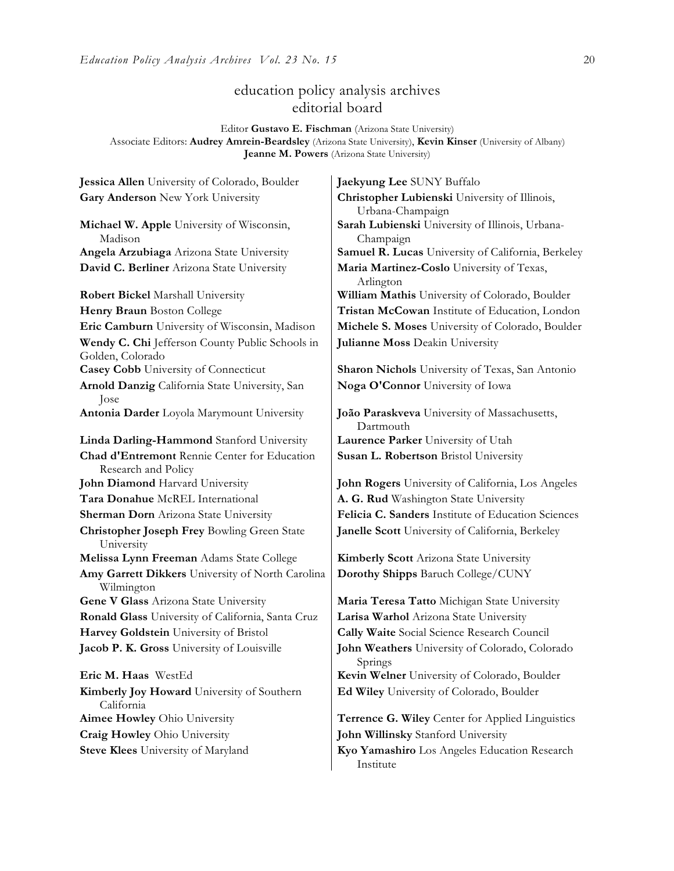### education policy analysis archives editorial board

Editor **Gustavo E. Fischman** (Arizona State University) Associate Editors: **Audrey Amrein-Beardsley** (Arizona State University), **Kevin Kinser** (University of Albany) **Jeanne M. Powers** (Arizona State University)

**Gary Anderson** New York University **Christopher Lubienski** University of Illinois, **Michael W. Apple** University of Wisconsin, Madison **David C. Berliner** Arizona State University **Maria Martinez-Coslo** University of Texas, **Robert Bickel Marshall University William Mathis University of Colorado, Boulder Wendy C. Chi** Jefferson County Public Schools in Golden, Colorado **Casey Cobb** University of Connecticut **Sharon Nichols** University of Texas, San Antonio **Arnold Danzig** California State University, San Jose **Antonia Darder** Loyola Marymount University **João Paraskveva** University of Massachusetts, **Linda Darling-Hammond** Stanford University **Laurence Parker** University of Utah **Chad d'Entremont** Rennie Center for Education Research and Policy **John Diamond** Harvard University **John Rogers** University of California, Los Angeles **Tara Donahue** McREL International **A. G. Rud** Washington State University **Sherman Dorn** Arizona State University **Felicia C. Sanders** Institute of Education Sciences **Christopher Joseph Frey** Bowling Green State University **Melissa Lynn Freeman** Adams State College **Kimberly Scott** Arizona State University **Amy Garrett Dikkers** University of North Carolina Wilmington **Gene V Glass** Arizona State University **Maria Teresa Tatto** Michigan State University **Ronald Glass** University of California, Santa Cruz **Larisa Warhol** Arizona State University **Harvey Goldstein** University of Bristol **Cally Waite** Social Science Research Council **Jacob P. K. Gross** University of Louisville **John Weathers** University of Colorado, Colorado **Eric M. Haas** WestEd **Kevin Welner** University of Colorado, Boulder **Kimberly Joy Howard** University of Southern California

**Jessica Allen** University of Colorado, Boulder **Jaekyung Lee** SUNY Buffalo Urbana-Champaign **Sarah Lubienski** University of Illinois, Urbana-Champaign **Angela Arzubiaga** Arizona State University **Samuel R. Lucas** University of California, Berkeley Arlington **Henry Braun** Boston College **Tristan McCowan** Institute of Education, London **Eric Camburn** University of Wisconsin, Madison **Michele S. Moses** University of Colorado, Boulder **Julianne Moss** Deakin University

**Noga O'Connor** University of Iowa

Dartmouth **Susan L. Robertson** Bristol University

**Janelle Scott** University of California, Berkeley

**Dorothy Shipps** Baruch College/CUNY

Springs **Ed Wiley** University of Colorado, Boulder

**Aimee Howley** Ohio University **Terrence G. Wiley** Center for Applied Linguistics **Craig Howley** Ohio University **John Willinsky** Stanford University

**Steve Klees** University of Maryland **Kyo Yamashiro** Los Angeles Education Research Institute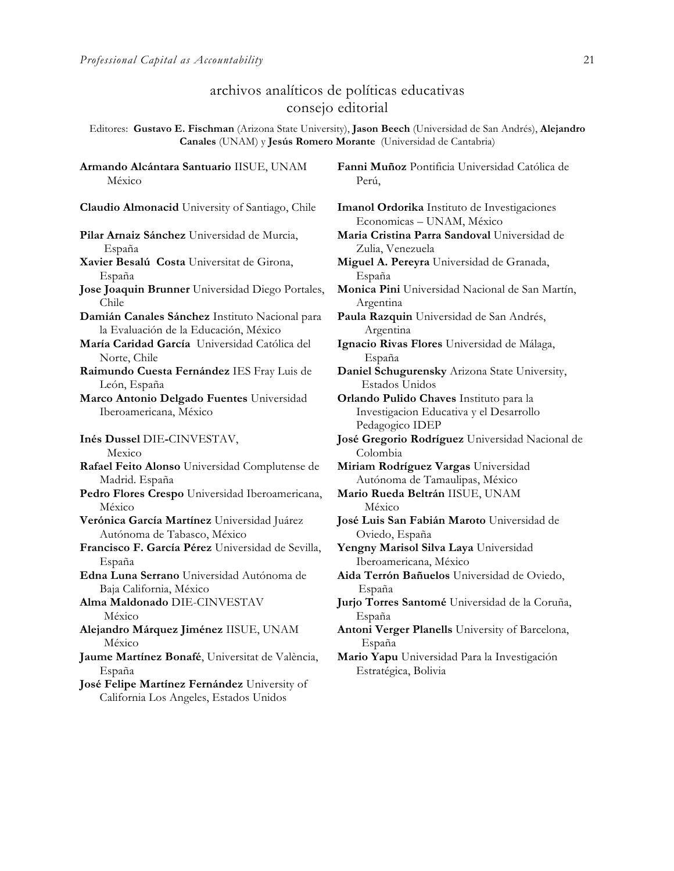**Armando Alcántara Santuario** IISUE, UNAM

### archivos analíticos de políticas educativas consejo editorial

Editores: **Gustavo E. Fischman** (Arizona State University), **Jason Beech** (Universidad de San Andrés), **Alejandro Canales** (UNAM) y **Jesús Romero Morante** (Universidad de Cantabria)

México **Claudio Almonacid** University of Santiago, Chile **Imanol Ordorika** Instituto de Investigaciones **Pilar Arnaiz Sánchez** Universidad de Murcia, España **Xavier Besalú Costa** Universitat de Girona, España **Jose Joaquin Brunner** Universidad Diego Portales, Chile **Damián Canales Sánchez** Instituto Nacional para la Evaluación de la Educación, México **María Caridad García** Universidad Católica del Norte, Chile **Raimundo Cuesta Fernández** IES Fray Luis de León, España **Marco Antonio Delgado Fuentes** Universidad Iberoamericana, México **Inés Dussel** DIE**-**CINVESTAV, Mexico **Rafael Feito Alonso** Universidad Complutense de Madrid. España **Pedro Flores Crespo** Universidad Iberoamericana, México **Verónica García Martínez** Universidad Juárez Autónoma de Tabasco, México **Francisco F. García Pérez** Universidad de Sevilla, España **Edna Luna Serrano** Universidad Autónoma de Baja California, México **Alma Maldonado** DIE-CINVESTAV México **Alejandro Márquez Jiménez** IISUE, UNAM México **Jaume Martínez Bonafé**, Universitat de València, España

**José Felipe Martínez Fernández** University of California Los Angeles, Estados Unidos

**Fanni Muñoz** Pontificia Universidad Católica de Perú,

Economicas – UNAM, México **Maria Cristina Parra Sandoval** Universidad de Zulia, Venezuela **Miguel A. Pereyra** Universidad de Granada, España **Monica Pini** Universidad Nacional de San Martín, Argentina **Paula Razquin** Universidad de San Andrés, Argentina **Ignacio Rivas Flores** Universidad de Málaga, España **Daniel Schugurensky** Arizona State University, Estados Unidos **Orlando Pulido Chaves** Instituto para la Investigacion Educativa y el Desarrollo Pedagogico IDEP **José Gregorio Rodríguez** Universidad Nacional de Colombia **Miriam Rodríguez Vargas** Universidad Autónoma de Tamaulipas, México **Mario Rueda Beltrán** IISUE, UNAM México **José Luis San Fabián Maroto** Universidad de Oviedo, España **Yengny Marisol Silva Laya** Universidad Iberoamericana, México **Aida Terrón Bañuelos** Universidad de Oviedo, España **Jurjo Torres Santomé** Universidad de la Coruña, España **Antoni Verger Planells** University of Barcelona, España **Mario Yapu** Universidad Para la Investigación Estratégica, Bolivia